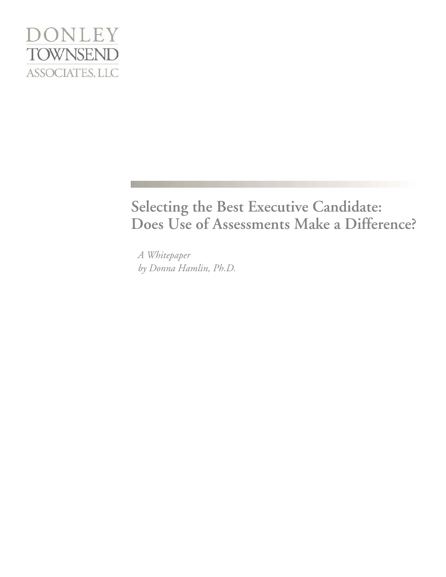

# **Selecting the Best Executive Candidate: Does Use of Assessments Make a Difference?**

*A Whitepaper by Donna Hamlin, Ph.D.*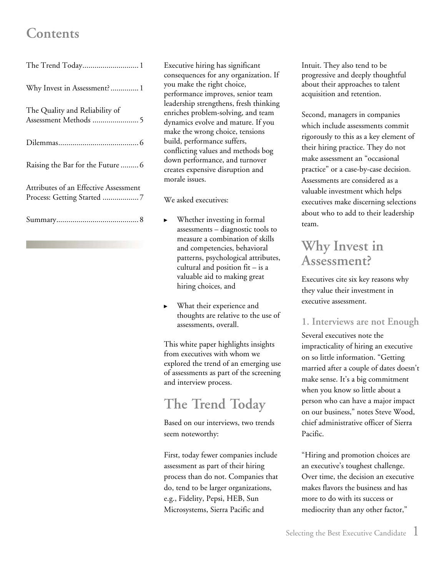## <span id="page-1-0"></span>**Contents**

| The Trend Today 1                     |
|---------------------------------------|
| Why Invest in Assessment? 1           |
| The Quality and Reliability of        |
|                                       |
| Raising the Bar for the Future  6     |
| Attributes of an Effective Assessment |
|                                       |

Executive hiring has significant consequences for any organization. If you make the right choice, performance improves, senior team leadership strengthens, fresh thinking enriches problem-solving, and team dynamics evolve and mature. If you make the wrong choice, tensions build, performance suffers, conflicting values and methods bog down performance, and turnover creates expensive disruption and morale issues.

We asked executives:

- ► Whether investing in formal assessments – diagnostic tools to measure a combination of skills and competencies, behavioral patterns, psychological attributes, cultural and position fit – is a valuable aid to making great hiring choices, and
- ► What their experience and thoughts are relative to the use of assessments, overall.

This white paper highlights insights from executives with whom we explored the trend of an emerging use of assessments as part of the screening and interview process.

# **The Trend Today**

Based on our interviews, two trends seem noteworthy:

First, today fewer companies include assessment as part of their hiring process than do not. Companies that do, tend to be larger organizations, e.g., Fidelity, Pepsi, HEB, Sun Microsystems, Sierra Pacific and

Intuit. They also tend to be progressive and deeply thoughtful about their approaches to talent acquisition and retention.

Second, managers in companies which include assessments commit rigorously to this as a key element of their hiring practice. They do not make assessment an "occasional practice" or a case-by-case decision. Assessments are considered as a valuable investment which helps executives make discerning selections about who to add to their leadership team.

## **Why Invest in Assessment?**

Executives cite six key reasons why they value their investment in executive assessment.

### **1. Interviews are not Enough**

Several executives note the impracticality of hiring an executive on so little information. "Getting married after a couple of dates doesn't make sense. It's a big commitment when you know so little about a person who can have a major impact on our business," notes Steve Wood, chief administrative officer of Sierra Pacific.

"Hiring and promotion choices are an executive's toughest challenge. Over time, the decision an executive makes flavors the business and has more to do with its success or mediocrity than any other factor,"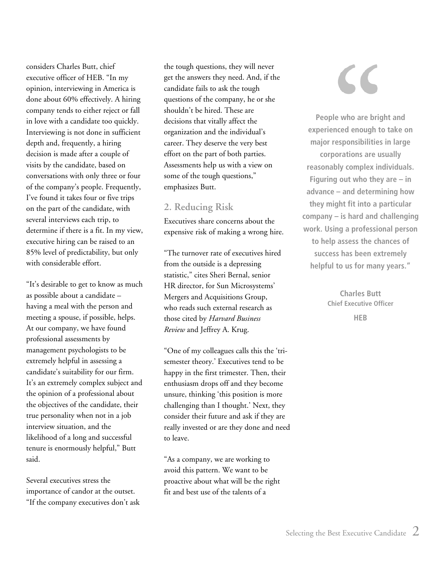considers Charles Butt, chief executive officer of HEB. "In my opinion, interviewing in America is done about 60% effectively. A hiring company tends to either reject or fall in love with a candidate too quickly. Interviewing is not done in sufficient depth and, frequently, a hiring decision is made after a couple of visits by the candidate, based on conversations with only three or four of the company's people. Frequently, I've found it takes four or five trips on the part of the candidate, with several interviews each trip, to determine if there is a fit. In my view, executive hiring can be raised to an 85% level of predictability, but only with considerable effort.

"It's desirable to get to know as much as possible about a candidate – having a meal with the person and meeting a spouse, if possible, helps. At our company, we have found professional assessments by management psychologists to be extremely helpful in assessing a candidate's suitability for our firm. It's an extremely complex subject and the opinion of a professional about the objectives of the candidate, their true personality when not in a job interview situation, and the likelihood of a long and successful tenure is enormously helpful," Butt said.

Several executives stress the importance of candor at the outset. "If the company executives don't ask

the tough questions, they will never get the answers they need. And, if the candidate fails to ask the tough questions of the company, he or she shouldn't be hired. These are decisions that vitally affect the organization and the individual's career. They deserve the very best effort on the part of both parties. Assessments help us with a view on some of the tough questions," emphasizes Butt.

### **2. Reducing Risk**

Executives share concerns about the expensive risk of making a wrong hire.

"The turnover rate of executives hired from the outside is a depressing statistic," cites Sheri Bernal, senior HR director, for Sun Microsystems' Mergers and Acquisitions Group, who reads such external research as those cited by *Harvard Business Review* and Jeffrey A. Krug.

"One of my colleagues calls this the 'trisemester theory.' Executives tend to be happy in the first trimester. Then, their enthusiasm drops off and they become unsure, thinking 'this position is more challenging than I thought.' Next, they consider their future and ask if they are really invested or are they done and need to leave.

"As a company, we are working to avoid this pattern. We want to be proactive about what will be the right fit and best use of the talents of a

**People who are bright and experienced enough to take on major responsibilities in large corporations are usually reasonably complex individuals. Figuring out who they are – in advance – and determining how they might fit into a particular company – is hard and challenging work. Using a professional person to help assess the chances of success has been extremely helpful to us for many years."** 

> **Charles Butt Chief Executive Officer HEB**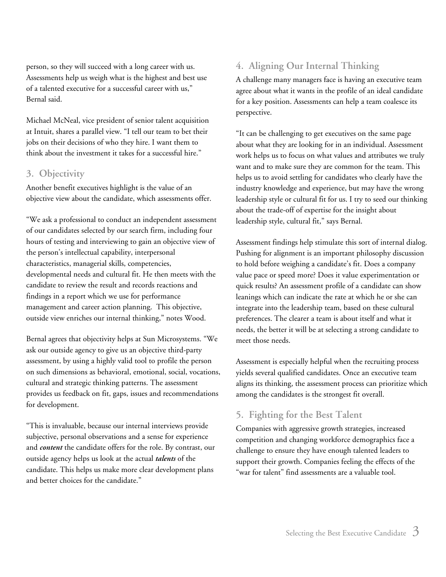person, so they will succeed with a long career with us. Assessments help us weigh what is the highest and best use of a talented executive for a successful career with us," Bernal said.

Michael McNeal, vice president of senior talent acquisition at Intuit, shares a parallel view. "I tell our team to bet their jobs on their decisions of who they hire. I want them to think about the investment it takes for a successful hire."

#### **3. Objectivity**

Another benefit executives highlight is the value of an objective view about the candidate, which assessments offer.

"We ask a professional to conduct an independent assessment of our candidates selected by our search firm, including four hours of testing and interviewing to gain an objective view of the person's intellectual capability, interpersonal characteristics, managerial skills, competencies, developmental needs and cultural fit. He then meets with the candidate to review the result and records reactions and findings in a report which we use for performance management and career action planning. This objective, outside view enriches our internal thinking," notes Wood.

Bernal agrees that objectivity helps at Sun Microsystems. "We ask our outside agency to give us an objective third-party assessment, by using a highly valid tool to profile the person on such dimensions as behavioral, emotional, social, vocations, cultural and strategic thinking patterns. The assessment provides us feedback on fit, gaps, issues and recommendations for development.

"This is invaluable, because our internal interviews provide subjective, personal observations and a sense for experience and *content* the candidate offers for the role. By contrast, our outside agency helps us look at the actual *talents* of the candidate. This helps us make more clear development plans and better choices for the candidate."

## **4. Aligning Our Internal Thinking**

A challenge many managers face is having an executive team agree about what it wants in the profile of an ideal candidate for a key position. Assessments can help a team coalesce its perspective.

"It can be challenging to get executives on the same page about what they are looking for in an individual. Assessment work helps us to focus on what values and attributes we truly want and to make sure they are common for the team. This helps us to avoid settling for candidates who clearly have the industry knowledge and experience, but may have the wrong leadership style or cultural fit for us. I try to seed our thinking about the trade-off of expertise for the insight about leadership style, cultural fit," says Bernal.

Assessment findings help stimulate this sort of internal dialog. Pushing for alignment is an important philosophy discussion to hold before weighing a candidate's fit. Does a company value pace or speed more? Does it value experimentation or quick results? An assessment profile of a candidate can show leanings which can indicate the rate at which he or she can integrate into the leadership team, based on these cultural preferences. The clearer a team is about itself and what it needs, the better it will be at selecting a strong candidate to meet those needs.

Assessment is especially helpful when the recruiting process yields several qualified candidates. Once an executive team aligns its thinking, the assessment process can prioritize which among the candidates is the strongest fit overall.

## **5. Fighting for the Best Talent**

Companies with aggressive growth strategies, increased competition and changing workforce demographics face a challenge to ensure they have enough talented leaders to support their growth. Companies feeling the effects of the "war for talent" find assessments are a valuable tool.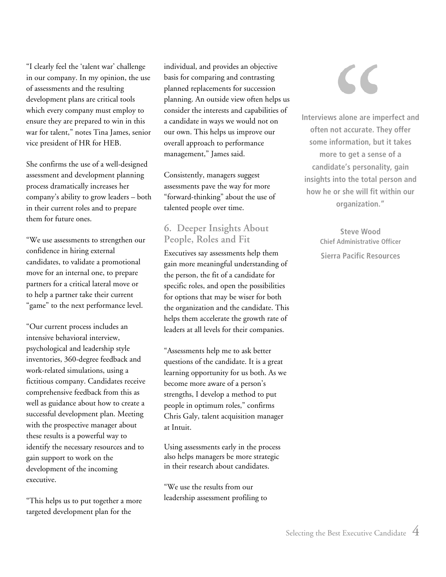"I clearly feel the 'talent war' challenge in our company. In my opinion, the use of assessments and the resulting development plans are critical tools which every company must employ to ensure they are prepared to win in this war for talent," notes Tina James, senior vice president of HR for HEB.

She confirms the use of a well-designed assessment and development planning process dramatically increases her company's ability to grow leaders – both in their current roles and to prepare them for future ones.

"We use assessments to strengthen our confidence in hiring external candidates, to validate a promotional move for an internal one, to prepare partners for a critical lateral move or to help a partner take their current "game" to the next performance level.

"Our current process includes an intensive behavioral interview, psychological and leadership style inventories, 360-degree feedback and work-related simulations, using a fictitious company. Candidates receive comprehensive feedback from this as well as guidance about how to create a successful development plan. Meeting with the prospective manager about these results is a powerful way to identify the necessary resources and to gain support to work on the development of the incoming executive.

"This helps us to put together a more targeted development plan for the

individual, and provides an objective basis for comparing and contrasting planned replacements for succession planning. An outside view often helps us consider the interests and capabilities of a candidate in ways we would not on our own. This helps us improve our overall approach to performance management," James said.

Consistently, managers suggest assessments pave the way for more "forward-thinking" about the use of talented people over time.

### **6. Deeper Insights About People, Roles and Fit**

Executives say assessments help them gain more meaningful understanding of the person, the fit of a candidate for specific roles, and open the possibilities for options that may be wiser for both the organization and the candidate. This helps them accelerate the growth rate of leaders at all levels for their companies.

"Assessments help me to ask better questions of the candidate. It is a great learning opportunity for us both. As we become more aware of a person's strengths, I develop a method to put people in optimum roles," confirms Chris Galy, talent acquisition manager at Intuit.

Using assessments early in the process also helps managers be more strategic in their research about candidates.

"We use the results from our leadership assessment profiling to

**Interviews alone are imperfect and often not accurate. They offer some information, but it takes more to get a sense of a candidate's personality, gain insights into the total person and how he or she will fit within our organization."** 

> **Steve Wood Chief Administrative Officer Sierra Pacific Resources**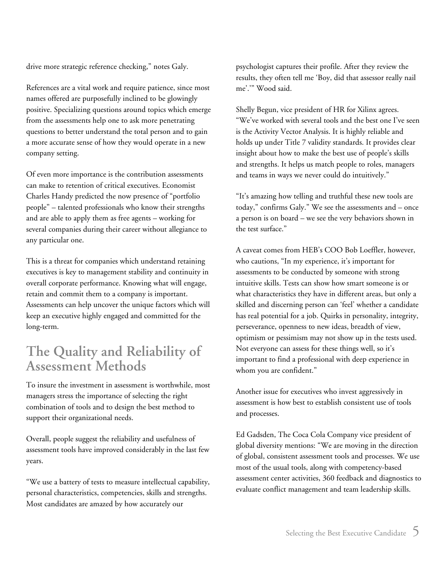<span id="page-5-0"></span>drive more strategic reference checking," notes Galy.

References are a vital work and require patience, since most names offered are purposefully inclined to be glowingly positive. Specializing questions around topics which emerge from the assessments help one to ask more penetrating questions to better understand the total person and to gain a more accurate sense of how they would operate in a new company setting.

Of even more importance is the contribution assessments can make to retention of critical executives. Economist Charles Handy predicted the now presence of "portfolio people" – talented professionals who know their strengths and are able to apply them as free agents – working for several companies during their career without allegiance to any particular one.

This is a threat for companies which understand retaining executives is key to management stability and continuity in overall corporate performance. Knowing what will engage, retain and commit them to a company is important. Assessments can help uncover the unique factors which will keep an executive highly engaged and committed for the long-term.

## **The Quality and Reliability of Assessment Methods**

To insure the investment in assessment is worthwhile, most managers stress the importance of selecting the right combination of tools and to design the best method to support their organizational needs.

Overall, people suggest the reliability and usefulness of assessment tools have improved considerably in the last few years.

"We use a battery of tests to measure intellectual capability, personal characteristics, competencies, skills and strengths. Most candidates are amazed by how accurately our

psychologist captures their profile. After they review the results, they often tell me 'Boy, did that assessor really nail me'.'" Wood said.

Shelly Begun, vice president of HR for Xilinx agrees. "We've worked with several tools and the best one I've seen is the Activity Vector Analysis. It is highly reliable and holds up under Title 7 validity standards. It provides clear insight about how to make the best use of people's skills and strengths. It helps us match people to roles, managers and teams in ways we never could do intuitively."

"It's amazing how telling and truthful these new tools are today," confirms Galy." We see the assessments and – once a person is on board – we see the very behaviors shown in the test surface."

A caveat comes from HEB's COO Bob Loeffler, however, who cautions, "In my experience, it's important for assessments to be conducted by someone with strong intuitive skills. Tests can show how smart someone is or what characteristics they have in different areas, but only a skilled and discerning person can 'feel' whether a candidate has real potential for a job. Quirks in personality, integrity, perseverance, openness to new ideas, breadth of view, optimism or pessimism may not show up in the tests used. Not everyone can assess for these things well, so it's important to find a professional with deep experience in whom you are confident."

Another issue for executives who invest aggressively in assessment is how best to establish consistent use of tools and processes.

Ed Gadsden, The Coca Cola Company vice president of global diversity mentions: "We are moving in the direction of global, consistent assessment tools and processes. We use most of the usual tools, along with competency-based assessment center activities, 360 feedback and diagnostics to evaluate conflict management and team leadership skills.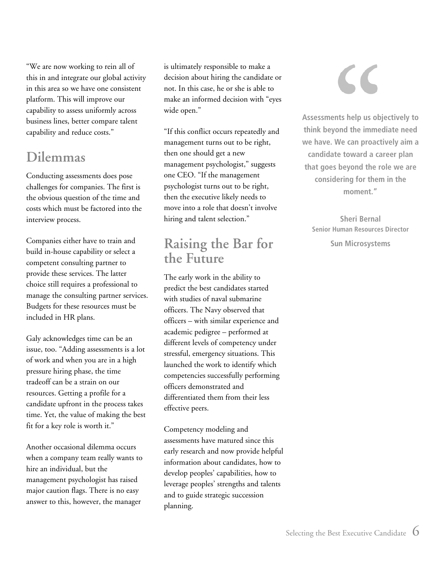<span id="page-6-0"></span>"We are now working to rein all of this in and integrate our global activity in this area so we have one consistent platform. This will improve our capability to assess uniformly across business lines, better compare talent capability and reduce costs."

## **Dilemmas**

Conducting assessments does pose challenges for companies. The first is the obvious question of the time and costs which must be factored into the interview process.

Companies either have to train and build in-house capability or select a competent consulting partner to provide these services. The latter choice still requires a professional to manage the consulting partner services. Budgets for these resources must be included in HR plans.

Galy acknowledges time can be an issue, too. "Adding assessments is a lot of work and when you are in a high pressure hiring phase, the time tradeoff can be a strain on our resources. Getting a profile for a candidate upfront in the process takes time. Yet, the value of making the best fit for a key role is worth it."

Another occasional dilemma occurs when a company team really wants to hire an individual, but the management psychologist has raised major caution flags. There is no easy answer to this, however, the manager

is ultimately responsible to make a decision about hiring the candidate or not. In this case, he or she is able to make an informed decision with "eyes wide open."

"If this conflict occurs repeatedly and management turns out to be right, then one should get a new management psychologist," suggests one CEO. "If the management psychologist turns out to be right, then the executive likely needs to move into a role that doesn't involve hiring and talent selection."

## **Raising the Bar for the Future**

The early work in the ability to predict the best candidates started with studies of naval submarine officers. The Navy observed that officers – with similar experience and academic pedigree – performed at different levels of competency under stressful, emergency situations. This launched the work to identify which competencies successfully performing officers demonstrated and differentiated them from their less effective peers.

Competency modeling and assessments have matured since this early research and now provide helpful information about candidates, how to develop peoples' capabilities, how to leverage peoples' strengths and talents and to guide strategic succession planning.

**Assessments help us objectively to think beyond the immediate need we have. We can proactively aim a candidate toward a career plan that goes beyond the role we are considering for them in the moment."** 

**Sheri Bernal Senior Human Resources Director** 

**Sun Microsystems**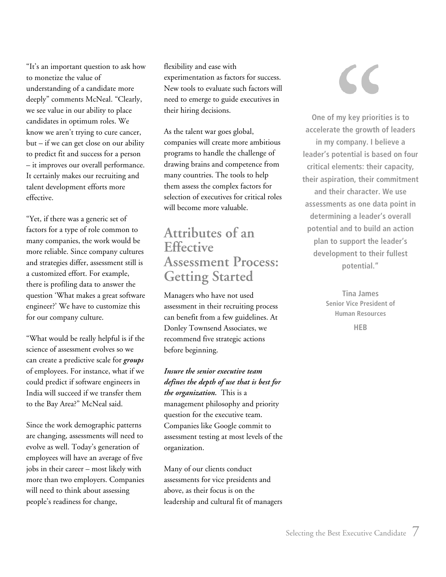<span id="page-7-0"></span>"It's an important question to ask how to monetize the value of understanding of a candidate more deeply" comments McNeal. "Clearly, we see value in our ability to place candidates in optimum roles. We know we aren't trying to cure cancer, but – if we can get close on our ability to predict fit and success for a person – it improves our overall performance. It certainly makes our recruiting and talent development efforts more effective.

"Yet, if there was a generic set of factors for a type of role common to many companies, the work would be more reliable. Since company cultures and strategies differ, assessment still is a customized effort. For example, there is profiling data to answer the question 'What makes a great software engineer?' We have to customize this for our company culture.

"What would be really helpful is if the science of assessment evolves so we can create a predictive scale for *groups* of employees. For instance, what if we could predict if software engineers in India will succeed if we transfer them to the Bay Area?" McNeal said.

Since the work demographic patterns are changing, assessments will need to evolve as well. Today's generation of employees will have an average of five jobs in their career – most likely with more than two employers. Companies will need to think about assessing people's readiness for change,

flexibility and ease with experimentation as factors for success. New tools to evaluate such factors will need to emerge to guide executives in their hiring decisions.

As the talent war goes global, companies will create more ambitious programs to handle the challenge of drawing brains and competence from many countries. The tools to help them assess the complex factors for selection of executives for critical roles will become more valuable.

## **Attributes of an Effective Assessment Process: Getting Started**

Managers who have not used assessment in their recruiting process can benefit from a few guidelines. At Donley Townsend Associates, we recommend five strategic actions before beginning.

*Insure the senior executive team defines the depth of use that is best for the organization.* This is a management philosophy and priority question for the executive team. Companies like Google commit to assessment testing at most levels of the organization.

Many of our clients conduct assessments for vice presidents and above, as their focus is on the leadership and cultural fit of managers

**One of my key priorities is to accelerate the growth of leaders in my company. I believe a leader's potential is based on four critical elements: their capacity, their aspiration, their commitment and their character. We use assessments as one data point in determining a leader's overall potential and to build an action plan to support the leader's development to their fullest potential."** 

> **Tina James Senior Vice President of Human Resources**

> > **HEB**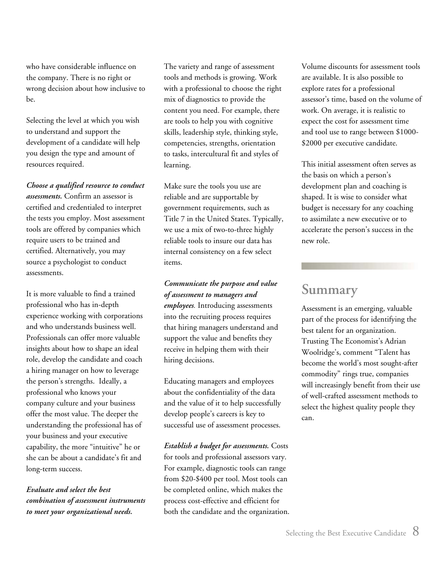<span id="page-8-0"></span>who have considerable influence on the company. There is no right or wrong decision about how inclusive to be.

Selecting the level at which you wish to understand and support the development of a candidate will help you design the type and amount of resources required.

*Choose a qualified resource to conduct assessments.* Confirm an assessor is certified and credentialed to interpret the tests you employ. Most assessment tools are offered by companies which require users to be trained and certified. Alternatively, you may source a psychologist to conduct assessments.

It is more valuable to find a trained professional who has in-depth experience working with corporations and who understands business well. Professionals can offer more valuable insights about how to shape an ideal role, develop the candidate and coach a hiring manager on how to leverage the person's strengths. Ideally, a professional who knows your company culture and your business offer the most value. The deeper the understanding the professional has of your business and your executive capability, the more "intuitive" he or she can be about a candidate's fit and long-term success.

*Evaluate and select the best combination of assessment instruments to meet your organizational needs.*

The variety and range of assessment tools and methods is growing. Work with a professional to choose the right mix of diagnostics to provide the content you need. For example, there are tools to help you with cognitive skills, leadership style, thinking style, competencies, strengths, orientation to tasks, intercultural fit and styles of learning.

Make sure the tools you use are reliable and are supportable by government requirements, such as Title 7 in the United States. Typically, we use a mix of two-to-three highly reliable tools to insure our data has internal consistency on a few select items.

*Communicate the purpose and value of assessment to managers and employees.* Introducing assessments into the recruiting process requires that hiring managers understand and support the value and benefits they receive in helping them with their hiring decisions.

Educating managers and employees about the confidentiality of the data and the value of it to help successfully develop people's careers is key to successful use of assessment processes.

*Establish a budget for assessments.* Costs for tools and professional assessors vary. For example, diagnostic tools can range from \$20-\$400 per tool. Most tools can be completed online, which makes the process cost-effective and efficient for both the candidate and the organization.

Volume discounts for assessment tools are available. It is also possible to explore rates for a professional assessor's time, based on the volume of work. On average, it is realistic to expect the cost for assessment time and tool use to range between \$1000- \$2000 per executive candidate.

This initial assessment often serves as the basis on which a person's development plan and coaching is shaped. It is wise to consider what budget is necessary for any coaching to assimilate a new executive or to accelerate the person's success in the new role.

## **Summary**

Assessment is an emerging, valuable part of the process for identifying the best talent for an organization. Trusting The Economist's Adrian Woolridge's, comment "Talent has become the world's most sought-after commodity" rings true, companies will increasingly benefit from their use of well-crafted assessment methods to select the highest quality people they can.